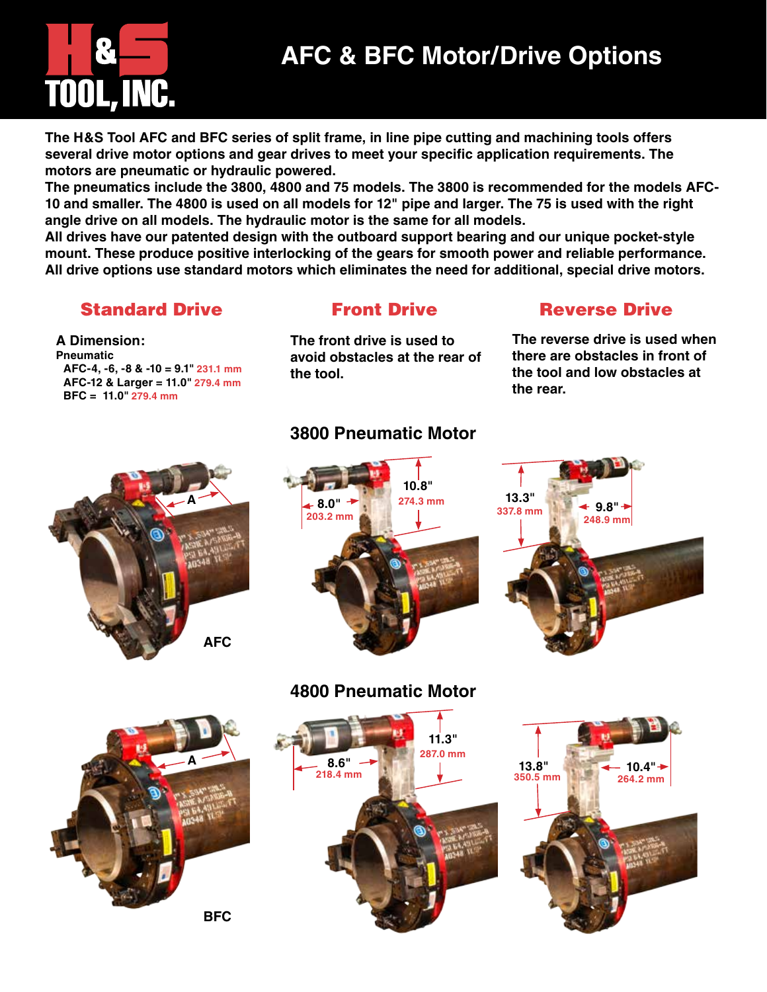# Tool, Inc.

## **AFC & BFC Motor/Drive Options**

**The H&S Tool AFC and BFC series of split frame, in line pipe cutting and machining tools offers several drive motor options and gear drives to meet your specific application requirements. The motors are pneumatic or hydraulic powered.** 

**The pneumatics include the 3800, 4800 and 75 models. The 3800 is recommended for the models AFC-10 and smaller. The 4800 is used on all models for 12" pipe and larger. The 75 is used with the right angle drive on all models. The hydraulic motor is the same for all models.**

**All drives have our patented design with the outboard support bearing and our unique pocket-style mount. These produce positive interlocking of the gears for smooth power and reliable performance. All drive options use standard motors which eliminates the need for additional, special drive motors.**

## Standard Drive Front Drive Reverse Drive

**AFC-4, -6, -8 & -10 = 9.1" 231.1 mm AFC-12 & Larger = 11.0" 279.4 mm**

**A Dimension: Pneumatic** 

**BFC = 11.0" 279.4 mm**

**The front drive is used to avoid obstacles at the rear of the tool.**

**The reverse drive is used when there are obstacles in front of the tool and low obstacles at the rear.**



## **3800 Pneumatic Motor**







## **4800 Pneumatic Motor**